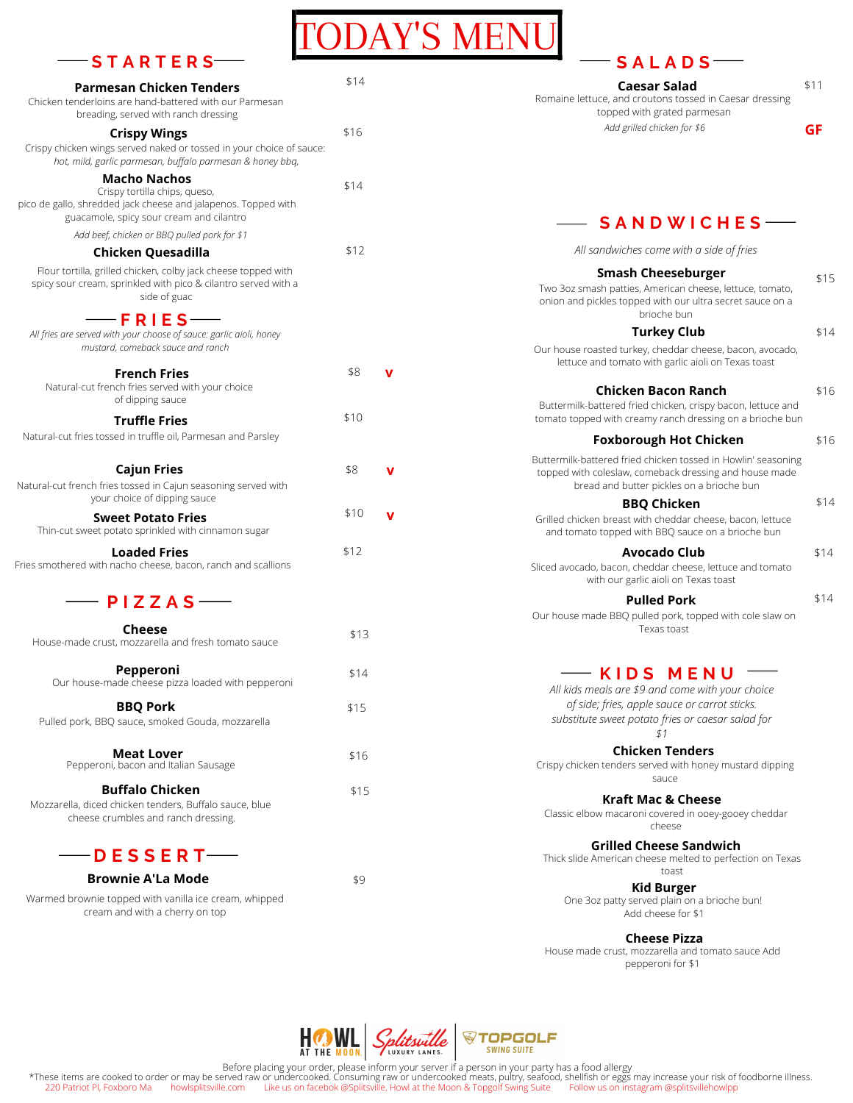#### **S T A R T E R S**

| <b>Parmesan Chicken Tenders</b><br>Chicken tenderloins are hand-battered with our Parmesan<br>breading, served with ranch dressing                          | \$14 |  |
|-------------------------------------------------------------------------------------------------------------------------------------------------------------|------|--|
| <b>Crispy Wings</b><br>Crispy chicken wings served naked or tossed in your choice of sauce:<br>hot, mild, garlic parmesan, buffalo parmesan & honey bbg,    | \$16 |  |
| Macho Nachos<br>Crispy tortilla chips, queso,<br>pico de gallo, shredded jack cheese and jalapenos. Topped with<br>guacamole, spicy sour cream and cilantro | \$14 |  |
| Add beef, chicken or BBQ pulled pork for \$1                                                                                                                |      |  |
| Chicken Quesadilla                                                                                                                                          | \$12 |  |
| Flour tortilla, grilled chicken, colby jack cheese topped with<br>spicy sour cream, sprinkled with pico & cilantro served with a<br>side of guac            |      |  |
| $-$ FRIES $-$<br>All fries are served with your choose of sauce: garlic aioli, honey<br>mustard, comeback sauce and ranch                                   |      |  |
| <b>French Fries</b><br>Natural-cut french fries served with your choice                                                                                     | \$8  |  |

| <b>SALADS</b>                                                                                                                                                        |      |
|----------------------------------------------------------------------------------------------------------------------------------------------------------------------|------|
| Caesar Salad<br>Romaine lettuce, and croutons tossed in Caesar dressing<br>topped with grated parmesan                                                               | \$11 |
| Add grilled chicken for \$6                                                                                                                                          | GF   |
|                                                                                                                                                                      |      |
| <b>SANDWICHES</b>                                                                                                                                                    |      |
| All sandwiches come with a side of fries                                                                                                                             |      |
| Smash Cheeseburger<br>Two 3oz smash patties, American cheese, lettuce, tomato,<br>onion and pickles topped with our ultra secret sauce on a<br>brioche bun           | \$15 |
| Turkey Club                                                                                                                                                          | \$14 |
| Our house roasted turkey, cheddar cheese, bacon, avocado,<br>lettuce and tomato with garlic aioli on Texas toast                                                     |      |
| Chicken Bacon Ranch                                                                                                                                                  | \$16 |
| Buttermilk-battered fried chicken, crispy bacon, lettuce and<br>tomato topped with creamy ranch dressing on a brioche bun                                            |      |
| <b>Foxborough Hot Chicken</b>                                                                                                                                        | \$16 |
| Buttermilk-battered fried chicken tossed in Howlin' seasoning<br>topped with coleslaw, comeback dressing and house made<br>bread and butter pickles on a brioche bun |      |
| <b>BBQ Chicken</b>                                                                                                                                                   | \$14 |
| Grilled chicken breast with cheddar cheese, bacon, lettuce<br>and tomato topped with BBQ sauce on a brioche bun                                                      |      |
| Avocado Club<br>Sliced avocado, bacon, cheddar cheese, lettuce and tomato<br>with our garlic aioli on Texas toast                                                    | \$14 |
| <b>Pulled Pork</b>                                                                                                                                                   | \$14 |
| Our house made BBQ pulled pork, topped with cole slaw on<br>Texas toast                                                                                              |      |

# **K I D S M E N U**

*All kids meals are \$9 and come with your choice of side; fries, apple sauce or carrot sticks. substitute sweet potato fries or caesar salad for*

*\$1* **Chicken Tenders**

Crispy chicken tenders served with honey mustard dipping sauce

**Kraft Mac & Cheese**

Classic elbow macaroni covered in ooey-gooey cheddar cheese

Thick slide American cheese melted to perfection on Texas toast **Grilled Cheese Sandwich**

**Kid Burger** One 3oz patty served plain on a brioche bun! Add cheese for \$1

House made crust, mozzarella and tomato sauce Add **Cheese Pizza**

pepperoni for \$1



DAY'S MEI

Before placing your order, please inform your server if a person in your party has a food allergy

\*These items are cooked to order or may be served raw or undercooked. Consuming raw or undercooked meats, pultry, seafood, shellfish or eggs may increase your risk of foodborne illness.<br>220 Patriot PI, Foxboro Maholitsvill



 $-$ **PIZZAS** $-$ 

**Truffle Fries**

of dipping sauce

Natural-cut fries tossed in truffle oil, Parmesan and Parsley

**Cajun Fries**

Natural-cut french fries tossed in Cajun seasoning served with your choice of dipping sauce

**Sweet Potato Fries**

Thin-cut sweet potato sprinkled with cinnamon sugar

**Loaded Fries**

Fries smothered with nacho cheese, bacon, ranch and scallions

**Cheese** House-made crust, mozzarella and fresh tomato sauce

**Pepperoni**

**BBQ Pork** Pulled pork, BBQ sauce, smoked Gouda, mozzarella

> **Meat Lover** Pepperoni, bacon and Italian Sausage

**Buffalo Chicken** Mozzarella, diced chicken tenders, Buffalo sauce, blue cheese crumbles and ranch dressing.

Our house-made cheese pizza loaded with pepperoni

**Brownie A'La Mode**

Warmed brownie topped with vanilla ice cream, whipped cream and with a cherry on top

\$9

\$14

\$15

\$15

\$16

\$13

\$10

\$8

**v**

**v**

\$12

\$10